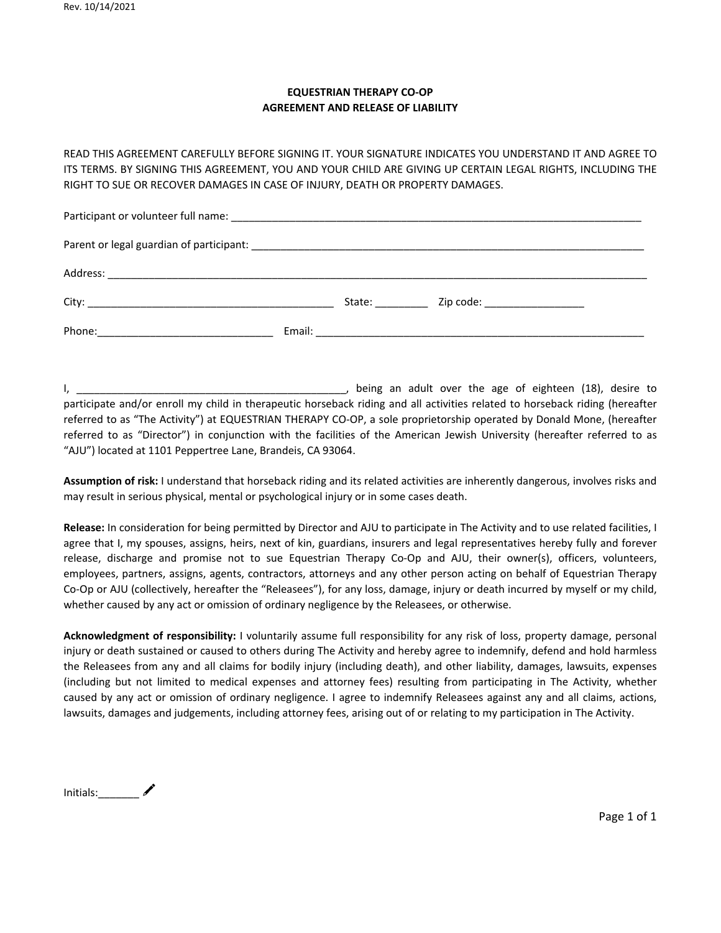## **EQUESTRIAN THERAPY CO-OP AGREEMENT AND RELEASE OF LIABILITY**

READ THIS AGREEMENT CAREFULLY BEFORE SIGNING IT. YOUR SIGNATURE INDICATES YOU UNDERSTAND IT AND AGREE TO ITS TERMS. BY SIGNING THIS AGREEMENT, YOU AND YOUR CHILD ARE GIVING UP CERTAIN LEGAL RIGHTS, INCLUDING THE RIGHT TO SUE OR RECOVER DAMAGES IN CASE OF INJURY, DEATH OR PROPERTY DAMAGES.

|  |  | State: the state of the state of the state of the state of the state of the state of the state of the state of the state of the state of the state of the state of the state of the state of the state of the state of the sta | Zip code: ___________________ |
|--|--|--------------------------------------------------------------------------------------------------------------------------------------------------------------------------------------------------------------------------------|-------------------------------|
|  |  |                                                                                                                                                                                                                                |                               |

I, \_\_\_\_\_\_\_\_\_\_\_\_\_\_\_\_\_\_\_\_\_\_\_\_\_\_\_\_\_\_\_\_\_\_\_\_\_\_\_\_\_\_\_\_\_\_, being an adult over the age of eighteen (18), desire to participate and/or enroll my child in therapeutic horseback riding and all activities related to horseback riding (hereafter referred to as "The Activity") at EQUESTRIAN THERAPY CO-OP, a sole proprietorship operated by Donald Mone, (hereafter referred to as "Director") in conjunction with the facilities of the American Jewish University (hereafter referred to as "AJU") located at 1101 Peppertree Lane, Brandeis, CA 93064.

**Assumption of risk:** I understand that horseback riding and its related activities are inherently dangerous, involves risks and may result in serious physical, mental or psychological injury or in some cases death.

**Release:** In consideration for being permitted by Director and AJU to participate in The Activity and to use related facilities, I agree that I, my spouses, assigns, heirs, next of kin, guardians, insurers and legal representatives hereby fully and forever release, discharge and promise not to sue Equestrian Therapy Co-Op and AJU, their owner(s), officers, volunteers, employees, partners, assigns, agents, contractors, attorneys and any other person acting on behalf of Equestrian Therapy Co-Op or AJU (collectively, hereafter the "Releasees"), for any loss, damage, injury or death incurred by myself or my child, whether caused by any act or omission of ordinary negligence by the Releasees, or otherwise.

**Acknowledgment of responsibility:** I voluntarily assume full responsibility for any risk of loss, property damage, personal injury or death sustained or caused to others during The Activity and hereby agree to indemnify, defend and hold harmless the Releasees from any and all claims for bodily injury (including death), and other liability, damages, lawsuits, expenses (including but not limited to medical expenses and attorney fees) resulting from participating in The Activity, whether caused by any act or omission of ordinary negligence. I agree to indemnify Releasees against any and all claims, actions, lawsuits, damages and judgements, including attorney fees, arising out of or relating to my participation in The Activity.

Initials:  $\bigtriangledown$ 

Page 1 of 1